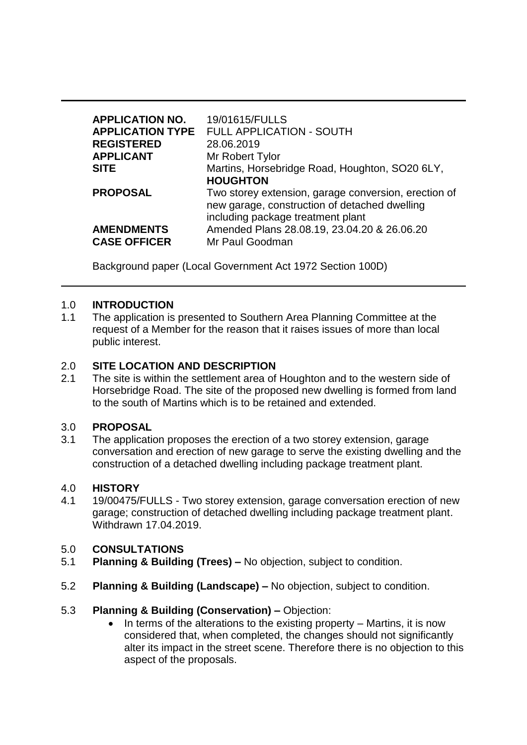| <b>APPLICATION NO.</b><br><b>REGISTERED</b><br><b>APPLICANT</b><br><b>SITE</b> | 19/01615/FULLS<br><b>APPLICATION TYPE FULL APPLICATION - SOUTH</b><br>28.06.2019<br>Mr Robert Tylor<br>Martins, Horsebridge Road, Houghton, SO20 6LY,<br><b>HOUGHTON</b> |
|--------------------------------------------------------------------------------|--------------------------------------------------------------------------------------------------------------------------------------------------------------------------|
| <b>PROPOSAL</b>                                                                | Two storey extension, garage conversion, erection of<br>new garage, construction of detached dwelling<br>including package treatment plant                               |
| <b>AMENDMENTS</b><br><b>CASE OFFICER</b>                                       | Amended Plans 28.08.19, 23.04.20 & 26.06.20<br>Mr Paul Goodman                                                                                                           |

Background paper (Local Government Act 1972 Section 100D)

#### 1.0 **INTRODUCTION**

1.1 The application is presented to Southern Area Planning Committee at the request of a Member for the reason that it raises issues of more than local public interest.

#### 2.0 **SITE LOCATION AND DESCRIPTION**

2.1 The site is within the settlement area of Houghton and to the western side of Horsebridge Road. The site of the proposed new dwelling is formed from land to the south of Martins which is to be retained and extended.

#### 3.0 **PROPOSAL**

3.1 The application proposes the erection of a two storey extension, garage conversation and erection of new garage to serve the existing dwelling and the construction of a detached dwelling including package treatment plant.

#### 4.0 **HISTORY**

4.1 19/00475/FULLS - Two storey extension, garage conversation erection of new garage; construction of detached dwelling including package treatment plant. Withdrawn 17.04.2019.

# 5.0 **CONSULTATIONS**

- 5.1 **Planning & Building (Trees) –** No objection, subject to condition.
- 5.2 **Planning & Building (Landscape) –** No objection, subject to condition.

#### 5.3 **Planning & Building (Conservation) –** Objection:

In terms of the alterations to the existing property – Martins, it is now considered that, when completed, the changes should not significantly alter its impact in the street scene. Therefore there is no objection to this aspect of the proposals.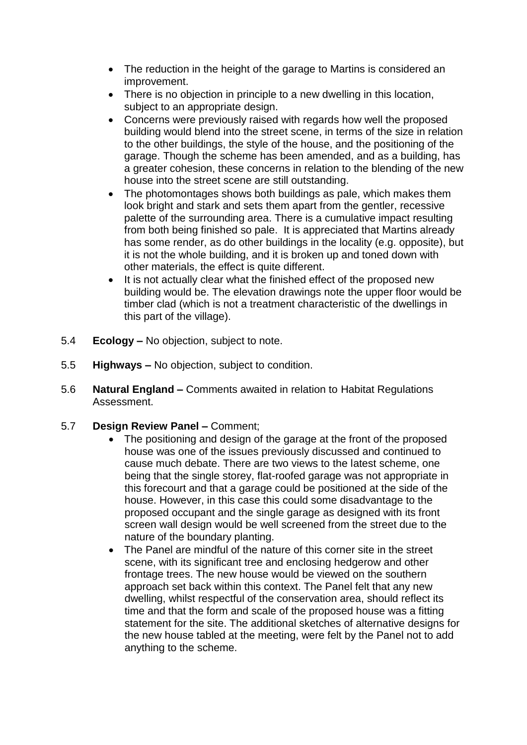- The reduction in the height of the garage to Martins is considered an improvement.
- There is no objection in principle to a new dwelling in this location, subject to an appropriate design.
- Concerns were previously raised with regards how well the proposed building would blend into the street scene, in terms of the size in relation to the other buildings, the style of the house, and the positioning of the garage. Though the scheme has been amended, and as a building, has a greater cohesion, these concerns in relation to the blending of the new house into the street scene are still outstanding.
- The photomontages shows both buildings as pale, which makes them look bright and stark and sets them apart from the gentler, recessive palette of the surrounding area. There is a cumulative impact resulting from both being finished so pale. It is appreciated that Martins already has some render, as do other buildings in the locality (e.g. opposite), but it is not the whole building, and it is broken up and toned down with other materials, the effect is quite different.
- It is not actually clear what the finished effect of the proposed new building would be. The elevation drawings note the upper floor would be timber clad (which is not a treatment characteristic of the dwellings in this part of the village).
- 5.4 **Ecology –** No objection, subject to note.
- 5.5 **Highways –** No objection, subject to condition.
- 5.6 **Natural England –** Comments awaited in relation to Habitat Regulations Assessment.
- 5.7 **Design Review Panel –** Comment;
	- The positioning and design of the garage at the front of the proposed house was one of the issues previously discussed and continued to cause much debate. There are two views to the latest scheme, one being that the single storey, flat-roofed garage was not appropriate in this forecourt and that a garage could be positioned at the side of the house. However, in this case this could some disadvantage to the proposed occupant and the single garage as designed with its front screen wall design would be well screened from the street due to the nature of the boundary planting.
	- The Panel are mindful of the nature of this corner site in the street scene, with its significant tree and enclosing hedgerow and other frontage trees. The new house would be viewed on the southern approach set back within this context. The Panel felt that any new dwelling, whilst respectful of the conservation area, should reflect its time and that the form and scale of the proposed house was a fitting statement for the site. The additional sketches of alternative designs for the new house tabled at the meeting, were felt by the Panel not to add anything to the scheme.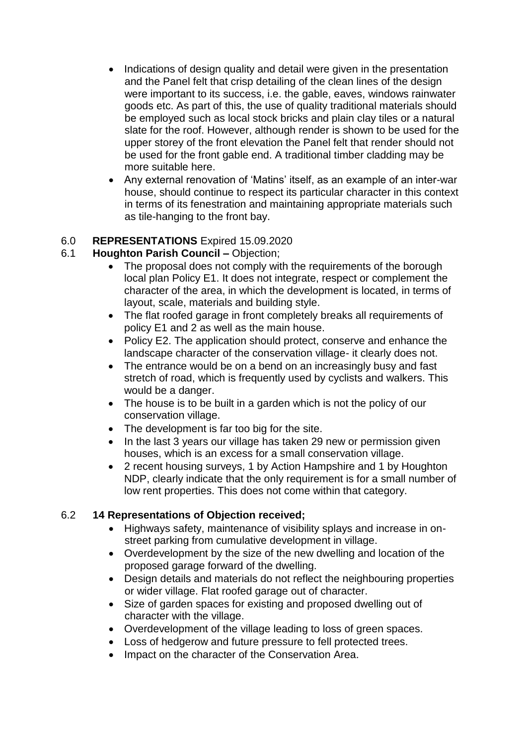- Indications of design quality and detail were given in the presentation and the Panel felt that crisp detailing of the clean lines of the design were important to its success, i.e. the gable, eaves, windows rainwater goods etc. As part of this, the use of quality traditional materials should be employed such as local stock bricks and plain clay tiles or a natural slate for the roof. However, although render is shown to be used for the upper storey of the front elevation the Panel felt that render should not be used for the front gable end. A traditional timber cladding may be more suitable here.
- Any external renovation of 'Matins' itself, as an example of an inter-war house, should continue to respect its particular character in this context in terms of its fenestration and maintaining appropriate materials such as tile-hanging to the front bay.

# 6.0 **REPRESENTATIONS** Expired 15.09.2020

# 6.1 **Houghton Parish Council –** Objection;

- The proposal does not comply with the requirements of the borough local plan Policy E1. It does not integrate, respect or complement the character of the area, in which the development is located, in terms of layout, scale, materials and building style.
- The flat roofed garage in front completely breaks all requirements of policy E1 and 2 as well as the main house.
- Policy E2. The application should protect, conserve and enhance the landscape character of the conservation village- it clearly does not.
- The entrance would be on a bend on an increasingly busy and fast stretch of road, which is frequently used by cyclists and walkers. This would be a danger.
- The house is to be built in a garden which is not the policy of our conservation village.
- The development is far too big for the site.
- In the last 3 years our village has taken 29 new or permission given houses, which is an excess for a small conservation village.
- 2 recent housing surveys, 1 by Action Hampshire and 1 by Houghton NDP, clearly indicate that the only requirement is for a small number of low rent properties. This does not come within that category.

# 6.2 **14 Representations of Objection received;**

- Highways safety, maintenance of visibility splays and increase in onstreet parking from cumulative development in village.
- Overdevelopment by the size of the new dwelling and location of the proposed garage forward of the dwelling.
- Design details and materials do not reflect the neighbouring properties or wider village. Flat roofed garage out of character.
- Size of garden spaces for existing and proposed dwelling out of character with the village.
- Overdevelopment of the village leading to loss of green spaces.
- Loss of hedgerow and future pressure to fell protected trees.
- Impact on the character of the Conservation Area.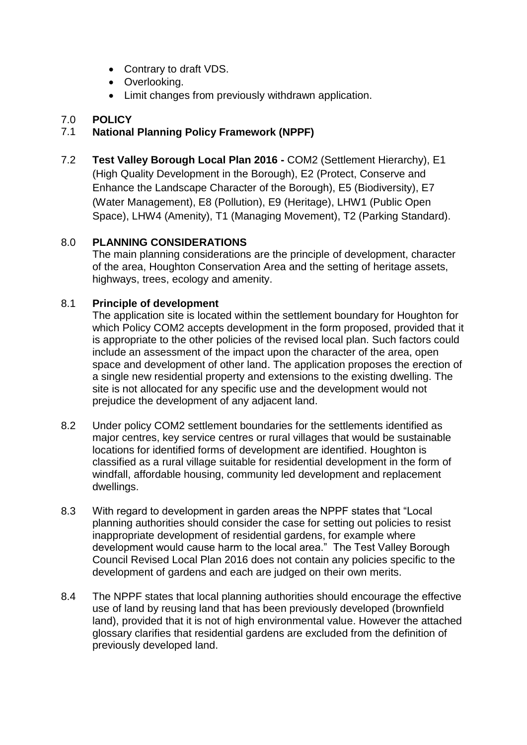- Contrary to draft VDS.
- Overlooking.
- Limit changes from previously withdrawn application.

# 7.0 **POLICY**

# 7.1 **National Planning Policy Framework (NPPF)**

7.2 **Test Valley Borough Local Plan 2016 -** COM2 (Settlement Hierarchy), E1 (High Quality Development in the Borough), E2 (Protect, Conserve and Enhance the Landscape Character of the Borough), E5 (Biodiversity), E7 (Water Management), E8 (Pollution), E9 (Heritage), LHW1 (Public Open Space), LHW4 (Amenity), T1 (Managing Movement), T2 (Parking Standard).

# 8.0 **PLANNING CONSIDERATIONS**

The main planning considerations are the principle of development, character of the area, Houghton Conservation Area and the setting of heritage assets, highways, trees, ecology and amenity.

#### 8.1 **Principle of development**

The application site is located within the settlement boundary for Houghton for which Policy COM2 accepts development in the form proposed, provided that it is appropriate to the other policies of the revised local plan. Such factors could include an assessment of the impact upon the character of the area, open space and development of other land. The application proposes the erection of a single new residential property and extensions to the existing dwelling. The site is not allocated for any specific use and the development would not prejudice the development of any adjacent land.

- 8.2 Under policy COM2 settlement boundaries for the settlements identified as major centres, key service centres or rural villages that would be sustainable locations for identified forms of development are identified. Houghton is classified as a rural village suitable for residential development in the form of windfall, affordable housing, community led development and replacement dwellings.
- 8.3 With regard to development in garden areas the NPPF states that "Local planning authorities should consider the case for setting out policies to resist inappropriate development of residential gardens, for example where development would cause harm to the local area." The Test Valley Borough Council Revised Local Plan 2016 does not contain any policies specific to the development of gardens and each are judged on their own merits.
- 8.4 The NPPF states that local planning authorities should encourage the effective use of land by reusing land that has been previously developed (brownfield land), provided that it is not of high environmental value. However the attached glossary clarifies that residential gardens are excluded from the definition of previously developed land.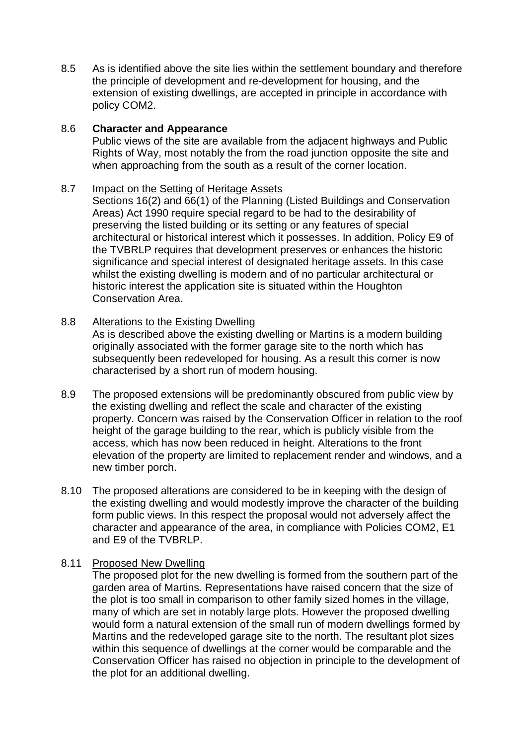8.5 As is identified above the site lies within the settlement boundary and therefore the principle of development and re-development for housing, and the extension of existing dwellings, are accepted in principle in accordance with policy COM2.

#### 8.6 **Character and Appearance**

Public views of the site are available from the adjacent highways and Public Rights of Way, most notably the from the road junction opposite the site and when approaching from the south as a result of the corner location.

#### 8.7 Impact on the Setting of Heritage Assets

Sections 16(2) and 66(1) of the Planning (Listed Buildings and Conservation Areas) Act 1990 require special regard to be had to the desirability of preserving the listed building or its setting or any features of special architectural or historical interest which it possesses. In addition, Policy E9 of the TVBRLP requires that development preserves or enhances the historic significance and special interest of designated heritage assets. In this case whilst the existing dwelling is modern and of no particular architectural or historic interest the application site is situated within the Houghton Conservation Area.

#### 8.8 Alterations to the Existing Dwelling

As is described above the existing dwelling or Martins is a modern building originally associated with the former garage site to the north which has subsequently been redeveloped for housing. As a result this corner is now characterised by a short run of modern housing.

- 8.9 The proposed extensions will be predominantly obscured from public view by the existing dwelling and reflect the scale and character of the existing property. Concern was raised by the Conservation Officer in relation to the roof height of the garage building to the rear, which is publicly visible from the access, which has now been reduced in height. Alterations to the front elevation of the property are limited to replacement render and windows, and a new timber porch.
- 8.10 The proposed alterations are considered to be in keeping with the design of the existing dwelling and would modestly improve the character of the building form public views. In this respect the proposal would not adversely affect the character and appearance of the area, in compliance with Policies COM2, E1 and E9 of the TVBRLP.

# 8.11 Proposed New Dwelling

The proposed plot for the new dwelling is formed from the southern part of the garden area of Martins. Representations have raised concern that the size of the plot is too small in comparison to other family sized homes in the village, many of which are set in notably large plots. However the proposed dwelling would form a natural extension of the small run of modern dwellings formed by Martins and the redeveloped garage site to the north. The resultant plot sizes within this sequence of dwellings at the corner would be comparable and the Conservation Officer has raised no objection in principle to the development of the plot for an additional dwelling.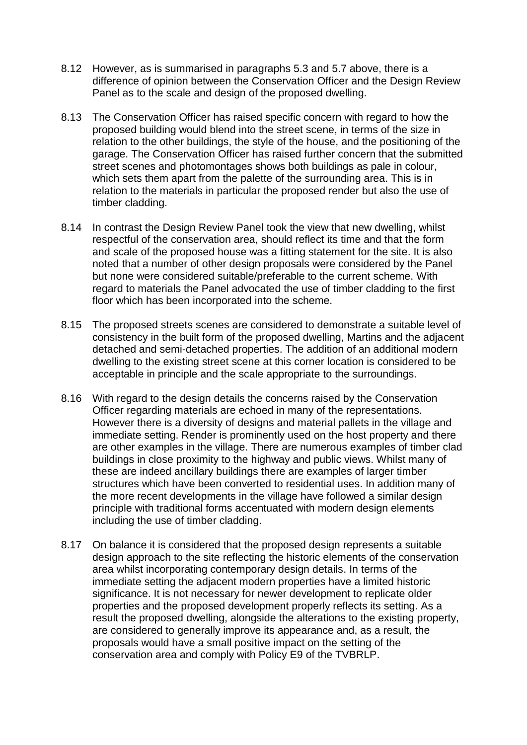- 8.12 However, as is summarised in paragraphs 5.3 and 5.7 above, there is a difference of opinion between the Conservation Officer and the Design Review Panel as to the scale and design of the proposed dwelling.
- 8.13 The Conservation Officer has raised specific concern with regard to how the proposed building would blend into the street scene, in terms of the size in relation to the other buildings, the style of the house, and the positioning of the garage. The Conservation Officer has raised further concern that the submitted street scenes and photomontages shows both buildings as pale in colour, which sets them apart from the palette of the surrounding area. This is in relation to the materials in particular the proposed render but also the use of timber cladding.
- 8.14 In contrast the Design Review Panel took the view that new dwelling, whilst respectful of the conservation area, should reflect its time and that the form and scale of the proposed house was a fitting statement for the site. It is also noted that a number of other design proposals were considered by the Panel but none were considered suitable/preferable to the current scheme. With regard to materials the Panel advocated the use of timber cladding to the first floor which has been incorporated into the scheme.
- 8.15 The proposed streets scenes are considered to demonstrate a suitable level of consistency in the built form of the proposed dwelling, Martins and the adjacent detached and semi-detached properties. The addition of an additional modern dwelling to the existing street scene at this corner location is considered to be acceptable in principle and the scale appropriate to the surroundings.
- 8.16 With regard to the design details the concerns raised by the Conservation Officer regarding materials are echoed in many of the representations. However there is a diversity of designs and material pallets in the village and immediate setting. Render is prominently used on the host property and there are other examples in the village. There are numerous examples of timber clad buildings in close proximity to the highway and public views. Whilst many of these are indeed ancillary buildings there are examples of larger timber structures which have been converted to residential uses. In addition many of the more recent developments in the village have followed a similar design principle with traditional forms accentuated with modern design elements including the use of timber cladding.
- 8.17 On balance it is considered that the proposed design represents a suitable design approach to the site reflecting the historic elements of the conservation area whilst incorporating contemporary design details. In terms of the immediate setting the adjacent modern properties have a limited historic significance. It is not necessary for newer development to replicate older properties and the proposed development properly reflects its setting. As a result the proposed dwelling, alongside the alterations to the existing property, are considered to generally improve its appearance and, as a result, the proposals would have a small positive impact on the setting of the conservation area and comply with Policy E9 of the TVBRLP.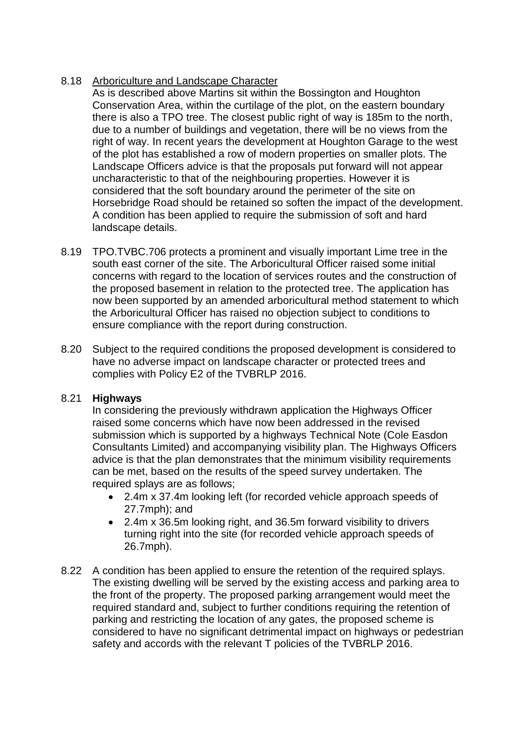# 8.18 Arboriculture and Landscape Character

As is described above Martins sit within the Bossington and Houghton Conservation Area, within the curtilage of the plot, on the eastern boundary there is also a TPO tree. The closest public right of way is 185m to the north, due to a number of buildings and vegetation, there will be no views from the right of way. In recent years the development at Houghton Garage to the west of the plot has established a row of modern properties on smaller plots. The Landscape Officers advice is that the proposals put forward will not appear uncharacteristic to that of the neighbouring properties. However it is considered that the soft boundary around the perimeter of the site on Horsebridge Road should be retained so soften the impact of the development. A condition has been applied to require the submission of soft and hard landscape details.

- 8.19 TPO.TVBC.706 protects a prominent and visually important Lime tree in the south east corner of the site. The Arboricultural Officer raised some initial concerns with regard to the location of services routes and the construction of the proposed basement in relation to the protected tree. The application has now been supported by an amended arboricultural method statement to which the Arboricultural Officer has raised no objection subject to conditions to ensure compliance with the report during construction.
- 8.20 Subject to the required conditions the proposed development is considered to have no adverse impact on landscape character or protected trees and complies with Policy E2 of the TVBRLP 2016.

# 8.21 **Highways**

In considering the previously withdrawn application the Highways Officer raised some concerns which have now been addressed in the revised submission which is supported by a highways Technical Note (Cole Easdon Consultants Limited) and accompanying visibility plan. The Highways Officers advice is that the plan demonstrates that the minimum visibility requirements can be met, based on the results of the speed survey undertaken. The required splays are as follows;

- 2.4m x 37.4m looking left (for recorded vehicle approach speeds of 27.7mph); and
- 2.4m x 36.5m looking right, and 36.5m forward visibility to drivers turning right into the site (for recorded vehicle approach speeds of 26.7mph).
- 8.22 A condition has been applied to ensure the retention of the required splays. The existing dwelling will be served by the existing access and parking area to the front of the property. The proposed parking arrangement would meet the required standard and, subject to further conditions requiring the retention of parking and restricting the location of any gates, the proposed scheme is considered to have no significant detrimental impact on highways or pedestrian safety and accords with the relevant T policies of the TVBRLP 2016.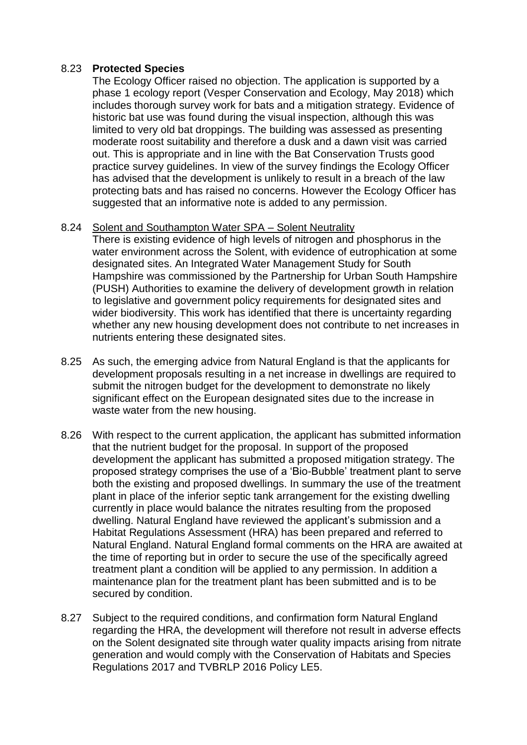#### 8.23 **Protected Species**

The Ecology Officer raised no objection. The application is supported by a phase 1 ecology report (Vesper Conservation and Ecology, May 2018) which includes thorough survey work for bats and a mitigation strategy. Evidence of historic bat use was found during the visual inspection, although this was limited to very old bat droppings. The building was assessed as presenting moderate roost suitability and therefore a dusk and a dawn visit was carried out. This is appropriate and in line with the Bat Conservation Trusts good practice survey guidelines. In view of the survey findings the Ecology Officer has advised that the development is unlikely to result in a breach of the law protecting bats and has raised no concerns. However the Ecology Officer has suggested that an informative note is added to any permission.

#### 8.24 Solent and Southampton Water SPA – Solent Neutrality

There is existing evidence of high levels of nitrogen and phosphorus in the water environment across the Solent, with evidence of eutrophication at some designated sites. An Integrated Water Management Study for South Hampshire was commissioned by the Partnership for Urban South Hampshire (PUSH) Authorities to examine the delivery of development growth in relation to legislative and government policy requirements for designated sites and wider biodiversity. This work has identified that there is uncertainty regarding whether any new housing development does not contribute to net increases in nutrients entering these designated sites.

- 8.25 As such, the emerging advice from Natural England is that the applicants for development proposals resulting in a net increase in dwellings are required to submit the nitrogen budget for the development to demonstrate no likely significant effect on the European designated sites due to the increase in waste water from the new housing.
- 8.26 With respect to the current application, the applicant has submitted information that the nutrient budget for the proposal. In support of the proposed development the applicant has submitted a proposed mitigation strategy. The proposed strategy comprises the use of a 'Bio-Bubble' treatment plant to serve both the existing and proposed dwellings. In summary the use of the treatment plant in place of the inferior septic tank arrangement for the existing dwelling currently in place would balance the nitrates resulting from the proposed dwelling. Natural England have reviewed the applicant's submission and a Habitat Regulations Assessment (HRA) has been prepared and referred to Natural England. Natural England formal comments on the HRA are awaited at the time of reporting but in order to secure the use of the specifically agreed treatment plant a condition will be applied to any permission. In addition a maintenance plan for the treatment plant has been submitted and is to be secured by condition.
- 8.27 Subject to the required conditions, and confirmation form Natural England regarding the HRA, the development will therefore not result in adverse effects on the Solent designated site through water quality impacts arising from nitrate generation and would comply with the Conservation of Habitats and Species Regulations 2017 and TVBRLP 2016 Policy LE5.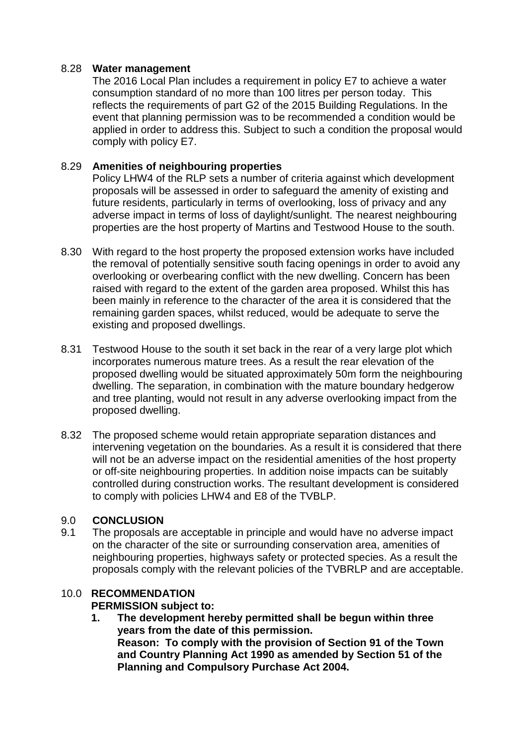#### 8.28 **Water management**

The 2016 Local Plan includes a requirement in policy E7 to achieve a water consumption standard of no more than 100 litres per person today. This reflects the requirements of part G2 of the 2015 Building Regulations. In the event that planning permission was to be recommended a condition would be applied in order to address this. Subject to such a condition the proposal would comply with policy E7.

### 8.29 **Amenities of neighbouring properties**

Policy LHW4 of the RLP sets a number of criteria against which development proposals will be assessed in order to safeguard the amenity of existing and future residents, particularly in terms of overlooking, loss of privacy and any adverse impact in terms of loss of daylight/sunlight. The nearest neighbouring properties are the host property of Martins and Testwood House to the south.

- 8.30 With regard to the host property the proposed extension works have included the removal of potentially sensitive south facing openings in order to avoid any overlooking or overbearing conflict with the new dwelling. Concern has been raised with regard to the extent of the garden area proposed. Whilst this has been mainly in reference to the character of the area it is considered that the remaining garden spaces, whilst reduced, would be adequate to serve the existing and proposed dwellings.
- 8.31 Testwood House to the south it set back in the rear of a very large plot which incorporates numerous mature trees. As a result the rear elevation of the proposed dwelling would be situated approximately 50m form the neighbouring dwelling. The separation, in combination with the mature boundary hedgerow and tree planting, would not result in any adverse overlooking impact from the proposed dwelling.
- 8.32 The proposed scheme would retain appropriate separation distances and intervening vegetation on the boundaries. As a result it is considered that there will not be an adverse impact on the residential amenities of the host property or off-site neighbouring properties. In addition noise impacts can be suitably controlled during construction works. The resultant development is considered to comply with policies LHW4 and E8 of the TVBLP.

# 9.0 **CONCLUSION**

9.1 The proposals are acceptable in principle and would have no adverse impact on the character of the site or surrounding conservation area, amenities of neighbouring properties, highways safety or protected species. As a result the proposals comply with the relevant policies of the TVBRLP and are acceptable.

# 10.0 **RECOMMENDATION**

#### **PERMISSION subject to:**

**1. The development hereby permitted shall be begun within three years from the date of this permission. Reason: To comply with the provision of Section 91 of the Town and Country Planning Act 1990 as amended by Section 51 of the Planning and Compulsory Purchase Act 2004.**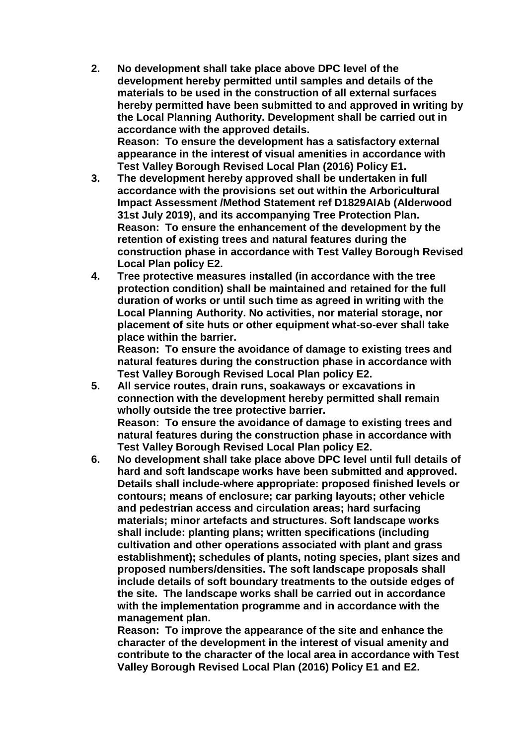- **2. No development shall take place above DPC level of the development hereby permitted until samples and details of the materials to be used in the construction of all external surfaces hereby permitted have been submitted to and approved in writing by the Local Planning Authority. Development shall be carried out in accordance with the approved details. Reason: To ensure the development has a satisfactory external appearance in the interest of visual amenities in accordance with Test Valley Borough Revised Local Plan (2016) Policy E1.**
- **3. The development hereby approved shall be undertaken in full accordance with the provisions set out within the Arboricultural Impact Assessment /Method Statement ref D1829AIAb (Alderwood 31st July 2019), and its accompanying Tree Protection Plan. Reason: To ensure the enhancement of the development by the retention of existing trees and natural features during the construction phase in accordance with Test Valley Borough Revised Local Plan policy E2.**
- **4. Tree protective measures installed (in accordance with the tree protection condition) shall be maintained and retained for the full duration of works or until such time as agreed in writing with the Local Planning Authority. No activities, nor material storage, nor placement of site huts or other equipment what-so-ever shall take place within the barrier.**

**Reason: To ensure the avoidance of damage to existing trees and natural features during the construction phase in accordance with Test Valley Borough Revised Local Plan policy E2.**

- **5. All service routes, drain runs, soakaways or excavations in connection with the development hereby permitted shall remain wholly outside the tree protective barrier. Reason: To ensure the avoidance of damage to existing trees and natural features during the construction phase in accordance with Test Valley Borough Revised Local Plan policy E2.**
- **6. No development shall take place above DPC level until full details of hard and soft landscape works have been submitted and approved. Details shall include-where appropriate: proposed finished levels or contours; means of enclosure; car parking layouts; other vehicle and pedestrian access and circulation areas; hard surfacing materials; minor artefacts and structures. Soft landscape works shall include: planting plans; written specifications (including cultivation and other operations associated with plant and grass establishment); schedules of plants, noting species, plant sizes and proposed numbers/densities. The soft landscape proposals shall include details of soft boundary treatments to the outside edges of the site. The landscape works shall be carried out in accordance with the implementation programme and in accordance with the management plan.**

**Reason: To improve the appearance of the site and enhance the character of the development in the interest of visual amenity and contribute to the character of the local area in accordance with Test Valley Borough Revised Local Plan (2016) Policy E1 and E2.**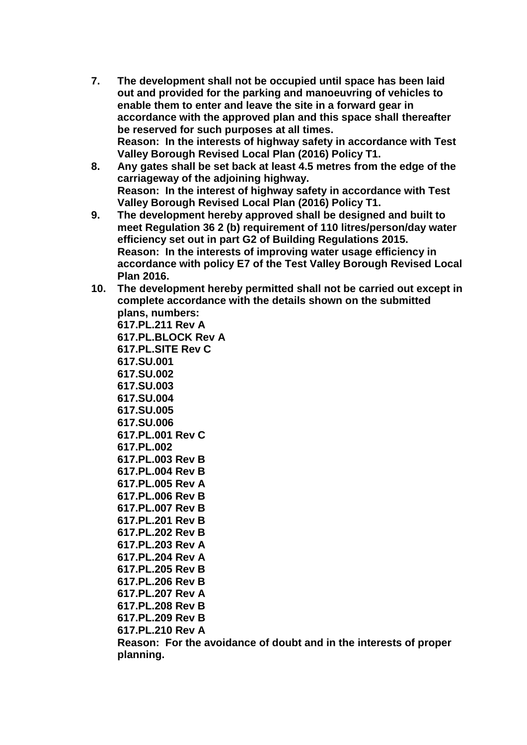- **7. The development shall not be occupied until space has been laid out and provided for the parking and manoeuvring of vehicles to enable them to enter and leave the site in a forward gear in accordance with the approved plan and this space shall thereafter be reserved for such purposes at all times. Reason: In the interests of highway safety in accordance with Test Valley Borough Revised Local Plan (2016) Policy T1.**
- **8. Any gates shall be set back at least 4.5 metres from the edge of the carriageway of the adjoining highway. Reason: In the interest of highway safety in accordance with Test Valley Borough Revised Local Plan (2016) Policy T1.**
- **9. The development hereby approved shall be designed and built to meet Regulation 36 2 (b) requirement of 110 litres/person/day water efficiency set out in part G2 of Building Regulations 2015. Reason: In the interests of improving water usage efficiency in accordance with policy E7 of the Test Valley Borough Revised Local Plan 2016.**
- **10. The development hereby permitted shall not be carried out except in complete accordance with the details shown on the submitted plans, numbers:**

**617.PL.211 Rev A 617.PL.BLOCK Rev A 617.PL.SITE Rev C 617.SU.001 617.SU.002 617.SU.003 617.SU.004 617.SU.005 617.SU.006 617.PL.001 Rev C 617.PL.002 617.PL.003 Rev B 617.PL.004 Rev B 617.PL.005 Rev A 617.PL.006 Rev B 617.PL.007 Rev B 617.PL.201 Rev B 617.PL.202 Rev B 617.PL.203 Rev A 617.PL.204 Rev A 617.PL.205 Rev B 617.PL.206 Rev B 617.PL.207 Rev A 617.PL.208 Rev B 617.PL.209 Rev B 617.PL.210 Rev A**

**Reason: For the avoidance of doubt and in the interests of proper planning.**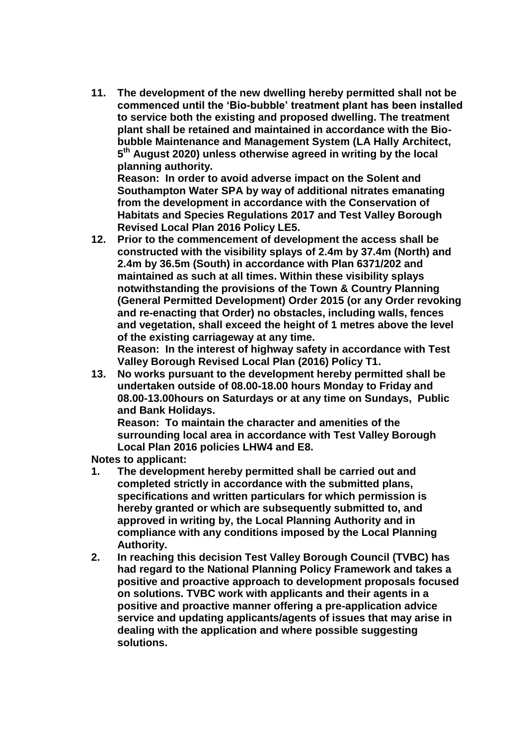**11. The development of the new dwelling hereby permitted shall not be commenced until the 'Bio-bubble' treatment plant has been installed to service both the existing and proposed dwelling. The treatment plant shall be retained and maintained in accordance with the Biobubble Maintenance and Management System (LA Hally Architect, 5 th August 2020) unless otherwise agreed in writing by the local planning authority.**

**Reason: In order to avoid adverse impact on the Solent and Southampton Water SPA by way of additional nitrates emanating from the development in accordance with the Conservation of Habitats and Species Regulations 2017 and Test Valley Borough Revised Local Plan 2016 Policy LE5.**

**12. Prior to the commencement of development the access shall be constructed with the visibility splays of 2.4m by 37.4m (North) and 2.4m by 36.5m (South) in accordance with Plan 6371/202 and maintained as such at all times. Within these visibility splays notwithstanding the provisions of the Town & Country Planning (General Permitted Development) Order 2015 (or any Order revoking and re-enacting that Order) no obstacles, including walls, fences and vegetation, shall exceed the height of 1 metres above the level of the existing carriageway at any time.**

**Reason: In the interest of highway safety in accordance with Test Valley Borough Revised Local Plan (2016) Policy T1.** 

**13. No works pursuant to the development hereby permitted shall be undertaken outside of 08.00-18.00 hours Monday to Friday and 08.00-13.00hours on Saturdays or at any time on Sundays, Public and Bank Holidays.**

**Reason: To maintain the character and amenities of the surrounding local area in accordance with Test Valley Borough Local Plan 2016 policies LHW4 and E8.** 

**Notes to applicant:**

- **1. The development hereby permitted shall be carried out and completed strictly in accordance with the submitted plans, specifications and written particulars for which permission is hereby granted or which are subsequently submitted to, and approved in writing by, the Local Planning Authority and in compliance with any conditions imposed by the Local Planning Authority.**
- **2. In reaching this decision Test Valley Borough Council (TVBC) has had regard to the National Planning Policy Framework and takes a positive and proactive approach to development proposals focused on solutions. TVBC work with applicants and their agents in a positive and proactive manner offering a pre-application advice service and updating applicants/agents of issues that may arise in dealing with the application and where possible suggesting solutions.**